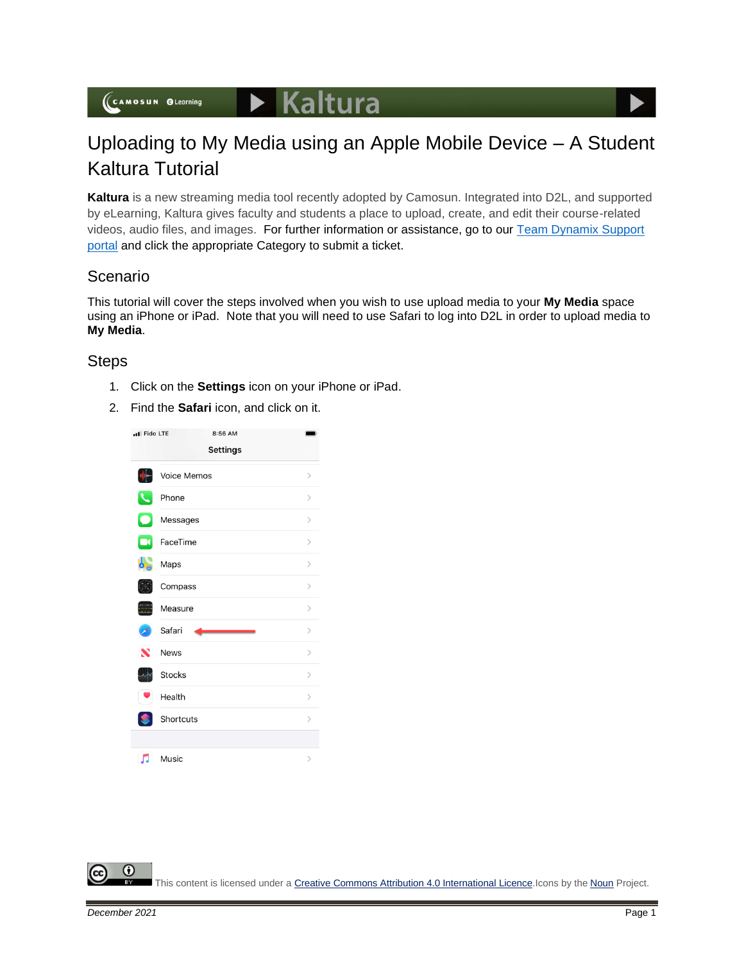(CAMOSUN OLearning

## Uploading to My Media using an Apple Mobile Device – A Student Kaltura Tutorial

**Kaltura** is a new streaming media tool recently adopted by Camosun. Integrated into D2L, and supported by eLearning, Kaltura gives faculty and students a place to upload, create, and edit their course-related videos, audio files, and images. For further information or assistance, go to our [Team Dynamix Support](https://camosun.teamdynamix.com/TDClient/67/Portal/Requests/ServiceCatalog?CategoryID=524)  [portal](https://camosun.teamdynamix.com/TDClient/67/Portal/Requests/ServiceCatalog?CategoryID=524) and click the appropriate Category to submit a ticket.

## Scenario

This tutorial will cover the steps involved when you wish to use upload media to your **My Media** space using an iPhone or iPad. Note that you will need to use Safari to log into D2L in order to upload media to **My Media**.

## **Steps**

- 1. Click on the **Settings** icon on your iPhone or iPad.
- 2. Find the **Safari** icon, and click on it.



This content is licensed under [a Creative Commons Attribution 4.0 International Licence.I](https://creativecommons.org/licenses/by/4.0/)cons by the [Noun](https://creativecommons.org/website-icons/) Project.

⋒